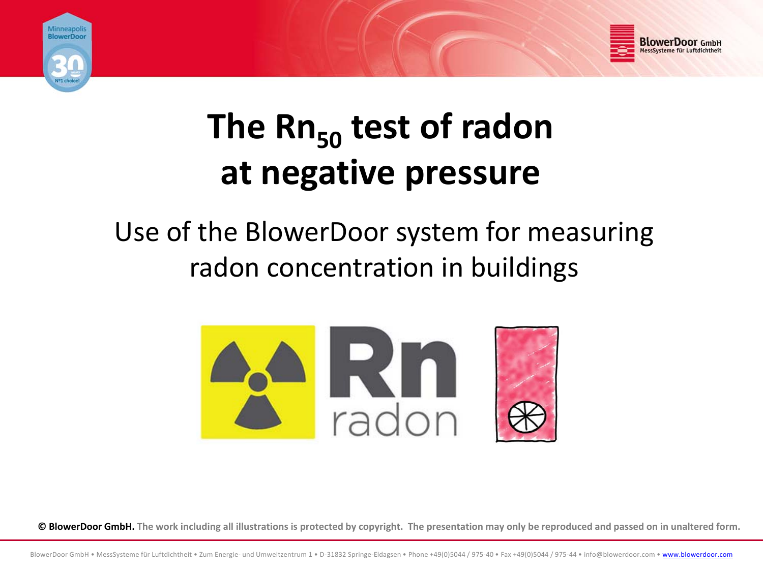



# **The Rn50 test of radon at negative pressure**

# Use of the BlowerDoor system for measuring radon concentration in buildings



© BlowerDoor GmbH. The work including all illustrations is protected by copyright. The presentation may only be reproduced and passed on in unaltered form.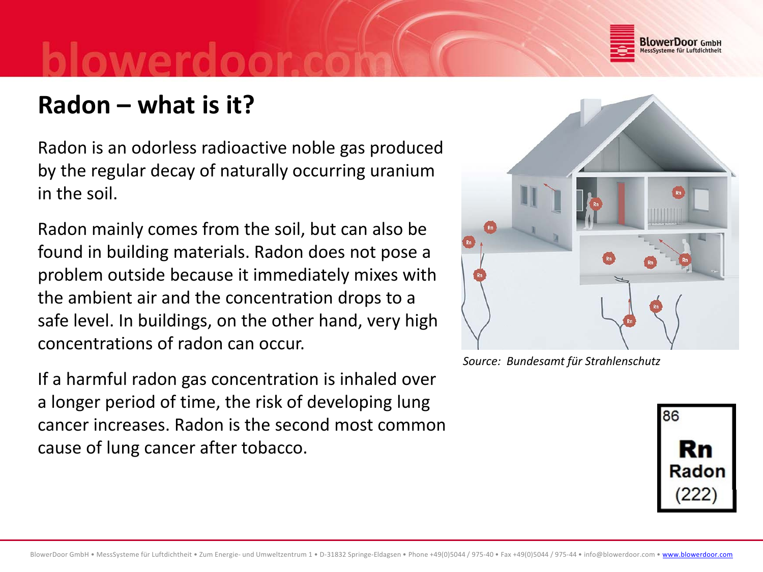

## **Radon – what is it?**

Radon is an odorless radioactive noble gas produced by the regular decay of naturally occurring uranium in the soil.

Radon mainly comes from the soil, but can also be found in building materials. Radon does not pose <sup>a</sup> problem outside because it immediately mixes with the ambient air and the concentration drops to <sup>a</sup> safe level. In buildings, on the other hand, very high concentrations of radon can occur.

If a harmful radon gas concentration is inhaled over a longer period of time, the risk of developing lung cancer increases. Radon is the second most common cause of lung cancer after tobacco.



*Source: Bundesamt für Strahlenschutz*

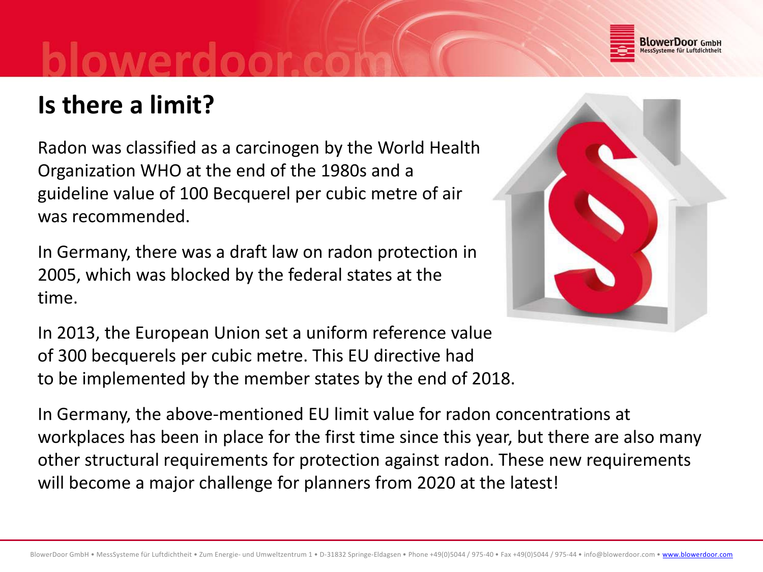

# **Is there a limit?**

Radon was classified as <sup>a</sup> carcinogen by the World Health Organization WHO at the end of the 1980s and <sup>a</sup> guideline value of 100 Becquerel per cubic metre of air was recommended.

In Germany, there was a draft law on radon protection in 2005, which was blocked by the federal states at the time.

In 2013, the European Union set a uniform reference value of 300 becquerels per cubic metre. This EU directive had to be implemented by the member states by the end of 2018.

In Germany, the above-mentioned EU limit value for radon concentrations at workplaces has been in place for the first time since this year, but there are also many other structural requirements for protection against radon. These new requirements will become a major challenge for planners from 2020 at the latest!

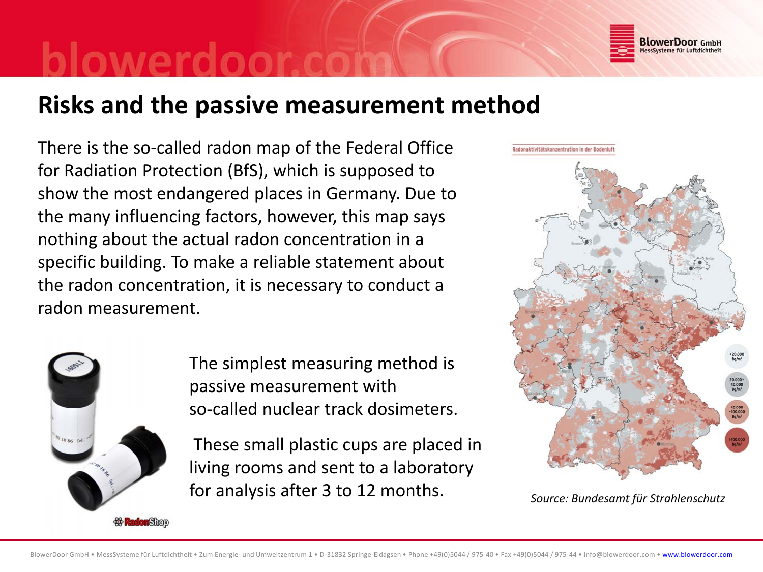

### **Risks and the passive measurement method**

There is the so‐called radon map of the Federal Office for Radiation Protection (BfS), which is supposed to show the most endangered places in Germany. Due to the many influencing factors, however, this map says nothing about the actual radon concentration in <sup>a</sup> specific building. To make <sup>a</sup> reliable statement about the radon concentration, it is necessary to conduct <sup>a</sup> radon measurement.



The simplest measuring method is passive measurement with so-called nuclear track dosimeters.

These small plastic cups are placed in living rooms and sent to <sup>a</sup> laboratory for analysis after 3 to 12 months.



*Source: Bundesamt für Strahlenschutz*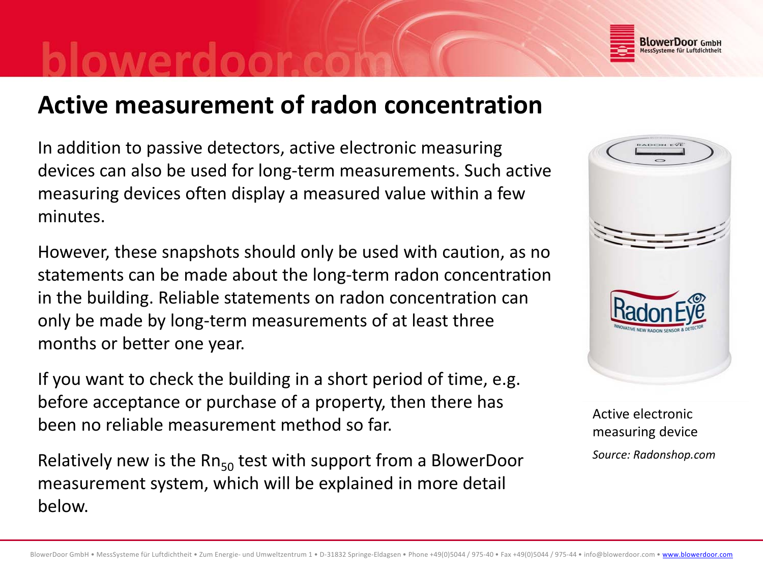

### **Active measurement of radon concentration**

In addition to passive detectors, active electronic measuring devices can also be used for long‐term measurements. Such active measuring devices often display <sup>a</sup> measured value within <sup>a</sup> few minutes.

However, these snapshots should only be used with caution, as no statements can be made about the long‐term radon concentration in the building. Reliable statements on radon concentration can only be made by long‐term measurements of at least three months or better one year.

If you want to check the building in <sup>a</sup> short period of time, e.g. before acceptance or purchase of a property, then there has been no reliable measurement method so far.

Relatively new is the Rn<sub>50</sub> test with support from a BlowerDoor measurement system, which will be explained in more detail below.



Active electronicmeasuring device *Source: Radonshop.com*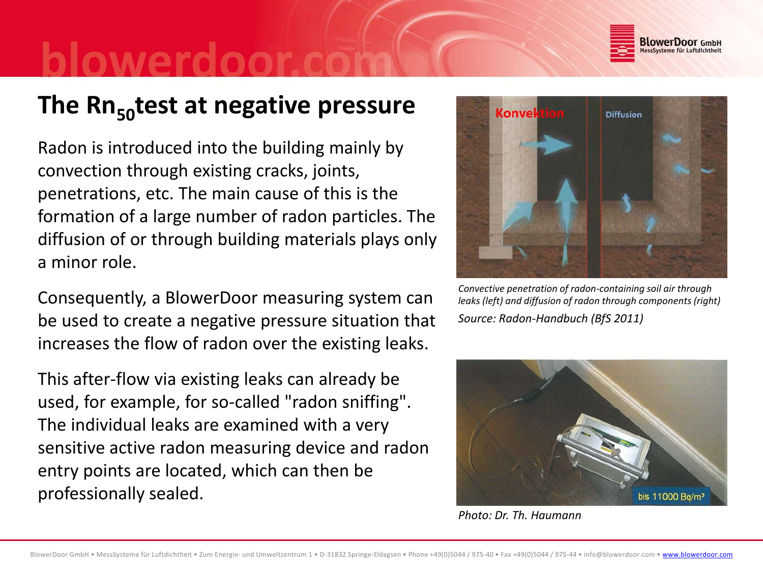

### **The Rn50test at negative pressure**

Radon is introduced into the building mainly by convection through existing cracks, joints, penetrations, etc. The main cause of this is the formation of <sup>a</sup> large number of radon particles. The diffusion of or through building materials plays only a minor role.

Consequently, <sup>a</sup> BlowerDoor measuring system can be used to create <sup>a</sup> negative pressure situation that increases the flow of radon over the existing leaks.

This after‐flow via existing leaks can already be used, for example, for so-called "radon sniffing". The individual leaks are examined with <sup>a</sup> very sensitive active radon measuring device and radon entry points are located, which can then be professionally sealed.



*Convective penetration of radon‐containing soil air through leaks (left) and diffusion of radon through components (right) Source: Radon‐Handbuch (BfS 2011)*



*Photo: Dr. Th. Haumann*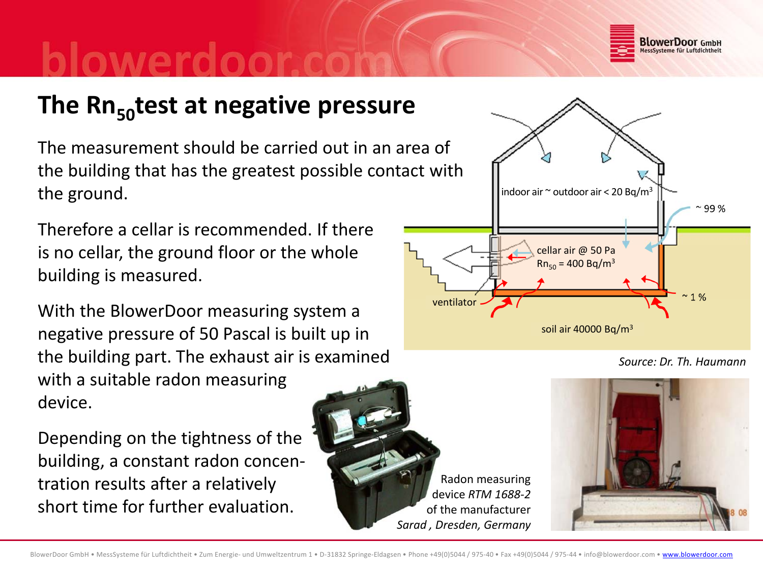

## **The Rn50test at negative pressure**

The measurement should be carried out in an area of the building that has the greatest possible contact with the ground.

Therefore <sup>a</sup> cellar is recommended. If there is no cellar, the ground floor or the whole building is measured.

With the BlowerDoor measuring system <sup>a</sup> negative pressure of 50 Pascal is built up in the building part. The exhaust air is examined with <sup>a</sup> suitable radon measuring device.

Depending on the tightness of the building, <sup>a</sup> constant radon concen‐ tration results after <sup>a</sup> relatively short time for further evaluation.

Radon measuring ddevice *RTM 1688‐2* of the manufacturer *Sarad , Dresden, Germany*

ventilato



indoor air  $^\sim$  outdoor air < 20 Bq/m $^3$ 

cellar air @ 50 Pa





99 %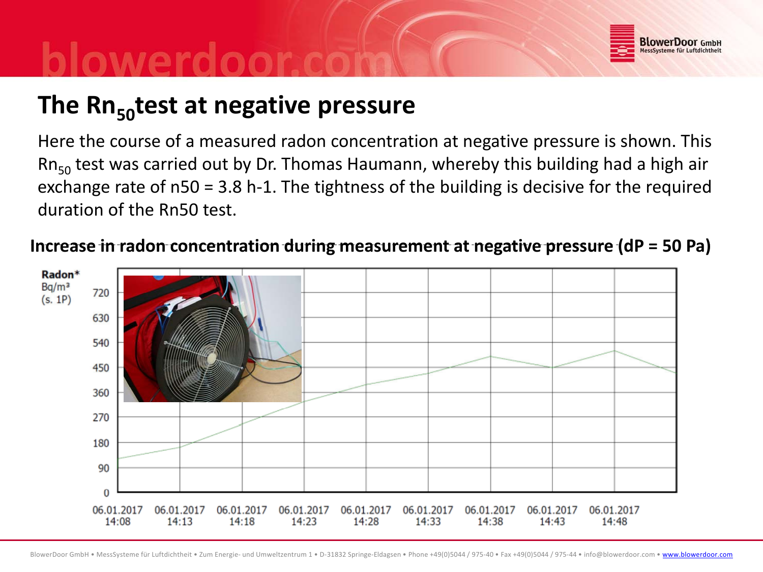

## **The Rn50test at negative pressure**

Here the course of <sup>a</sup> measured radon concentration at negative pressure is shown. This Rn<sub>50</sub> test was carried out by Dr. Thomas Haumann, whereby this building had a high air exchange rate of n50 <sup>=</sup> 3.8 h‐1. The tightness of the building is decisive for the required duration of the Rn50 test.

### **Increase in radon concentration during measurement at negative pressure (dP <sup>=</sup> 50 Pa)**

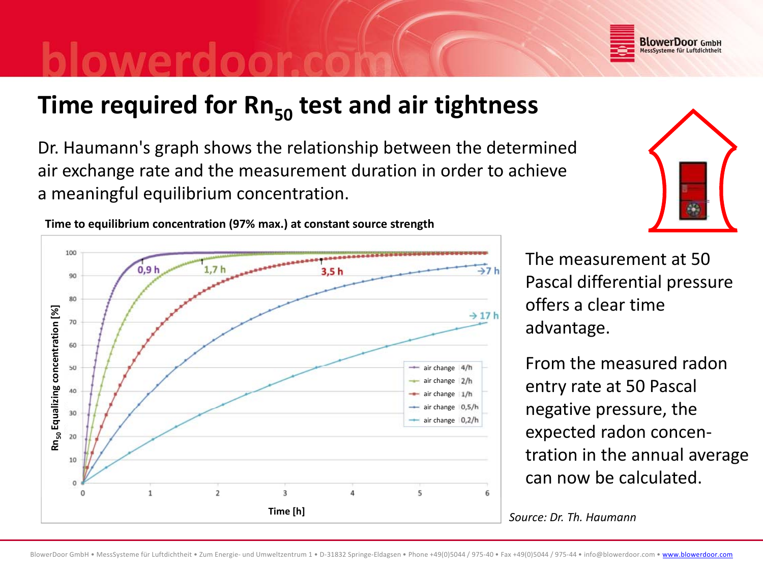

 $\Lambda$ 

5

6

**Time required for Rn50 test and air tightness**

Dr. Haumann's graph shows the relationship between the determined air exchange rate and the measurement duration in order to achieve a meaningful equilibrium concentration.

> The measurement at 50Pascal differential pressure offers a clear time

From the measured radon entry rate at 50 Pascal  $r_{\text{change}}$  e.s.th  $\vert$  negative pressure, the expected radon concen‐ tration in the annual average can now be calculated.

*Source: Dr. Th. Haumann* **Time [h]**

### $0.9<sub>h</sub>$  $1,7h$  $3.5$ 90 80 advantage. **lizing concentratio** air change air change air change air $\frac{1}{\sqrt{2}}$  **Equality**  $\frac{1}{20}$  **Equality**  $\frac{1}{20}$  **Equality**  $\frac{1}{20}$  **Equality**  $\frac{1}{20}$  **Equality**  $\frac{1}{20}$  **Equality**  $\frac{1}{20}$  **Equality**  $\frac{1}{20}$  **Equality**  $\frac{1}{20}$  **Equality**  $\frac{1}{20}$  **Equality** 10

 $\overline{3}$ 

 $\overline{2}$ 

**Time to equilibrium concentration (97% max.) at constant source strength**

100

 $\alpha$ 

 $\mathbf{1}$